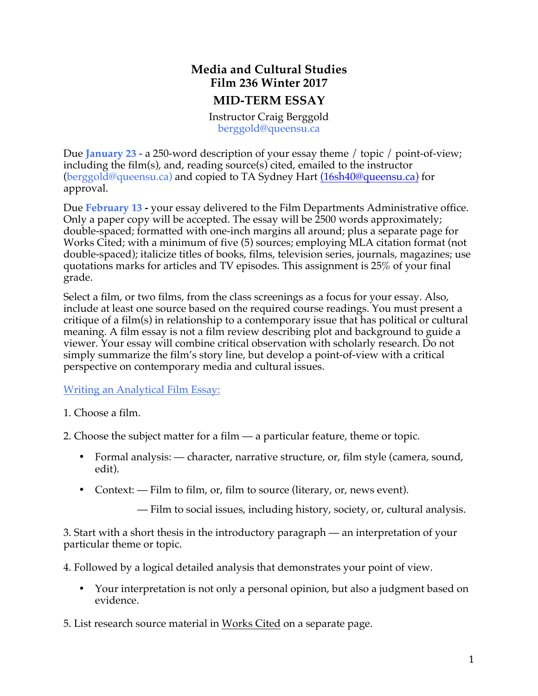## **Media and Cultural Studies Film 236 Winter 2017**

## **MID-TERM ESSAY**

Instructor Craig Berggold berggold@queensu.ca

Due **January 23** - a 250-word description of your essay theme / topic / point-of-view; including the film(s), and, reading source(s) cited, emailed to the instructor (berggold@queensu.ca) and copied to TA Sydney Hart (16sh40@queensu.ca) for approval.

Due **February 13 -** your essay delivered to the Film Departments Administrative office. Only a paper copy will be accepted. The essay will be 2500 words approximately; double-spaced; formatted with one-inch margins all around; plus a separate page for Works Cited; with a minimum of five (5) sources; employing MLA citation format (not double-spaced); italicize titles of books, films, television series, journals, magazines; use quotations marks for articles and TV episodes. This assignment is 25% of your final grade.

Select a film, or two films, from the class screenings as a focus for your essay. Also, include at least one source based on the required course readings. You must present a critique of a film(s) in relationship to a contemporary issue that has political or cultural meaning. A film essay is not a film review describing plot and background to guide a viewer. Your essay will combine critical observation with scholarly research. Do not simply summarize the film's story line, but develop a point-of-view with a critical perspective on contemporary media and cultural issues.

Writing an Analytical Film Essay:

1. Choose a film.

2. Choose the subject matter for a film — a particular feature, theme or topic.

- Formal analysis: character, narrative structure, or, film style (camera, sound, edit).
- Context: Film to film, or, film to source (literary, or, news event).

— Film to social issues, including history, society, or, cultural analysis.

3. Start with a short thesis in the introductory paragraph — an interpretation of your particular theme or topic.

4. Followed by a logical detailed analysis that demonstrates your point of view.

• Your interpretation is not only a personal opinion, but also a judgment based on evidence.

5. List research source material in Works Cited on a separate page.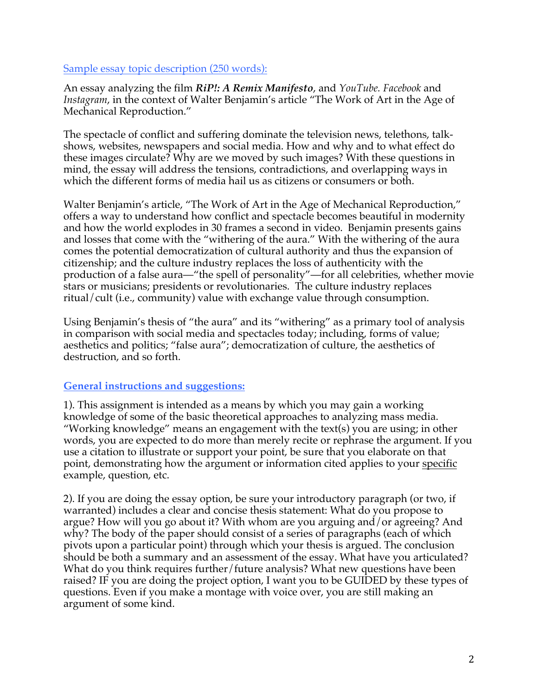## Sample essay topic description (250 words):

An essay analyzing the film *RiP!: A Remix Manifesto*, and *YouTube. Facebook* and *Instagram*, in the context of Walter Benjamin's article "The Work of Art in the Age of Mechanical Reproduction."

The spectacle of conflict and suffering dominate the television news, telethons, talkshows, websites, newspapers and social media. How and why and to what effect do these images circulate? Why are we moved by such images? With these questions in mind, the essay will address the tensions, contradictions, and overlapping ways in which the different forms of media hail us as citizens or consumers or both.

Walter Benjamin's article, "The Work of Art in the Age of Mechanical Reproduction," offers a way to understand how conflict and spectacle becomes beautiful in modernity and how the world explodes in 30 frames a second in video. Benjamin presents gains and losses that come with the "withering of the aura." With the withering of the aura comes the potential democratization of cultural authority and thus the expansion of citizenship; and the culture industry replaces the loss of authenticity with the production of a false aura—"the spell of personality"—for all celebrities, whether movie stars or musicians; presidents or revolutionaries. The culture industry replaces ritual/cult (i.e., community) value with exchange value through consumption.

Using Benjamin's thesis of "the aura" and its "withering" as a primary tool of analysis in comparison with social media and spectacles today; including, forms of value; aesthetics and politics; "false aura"; democratization of culture, the aesthetics of destruction, and so forth.

## **General instructions and suggestions:**

1). This assignment is intended as a means by which you may gain a working knowledge of some of the basic theoretical approaches to analyzing mass media. "Working knowledge" means an engagement with the text(s) you are using; in other words, you are expected to do more than merely recite or rephrase the argument. If you use a citation to illustrate or support your point, be sure that you elaborate on that point, demonstrating how the argument or information cited applies to your specific example, question, etc.

2). If you are doing the essay option, be sure your introductory paragraph (or two, if warranted) includes a clear and concise thesis statement: What do you propose to argue? How will you go about it? With whom are you arguing and/or agreeing? And why? The body of the paper should consist of a series of paragraphs (each of which pivots upon a particular point) through which your thesis is argued. The conclusion should be both a summary and an assessment of the essay. What have you articulated? What do you think requires further/future analysis? What new questions have been raised? IF you are doing the project option, I want you to be GUIDED by these types of questions. Even if you make a montage with voice over, you are still making an argument of some kind.